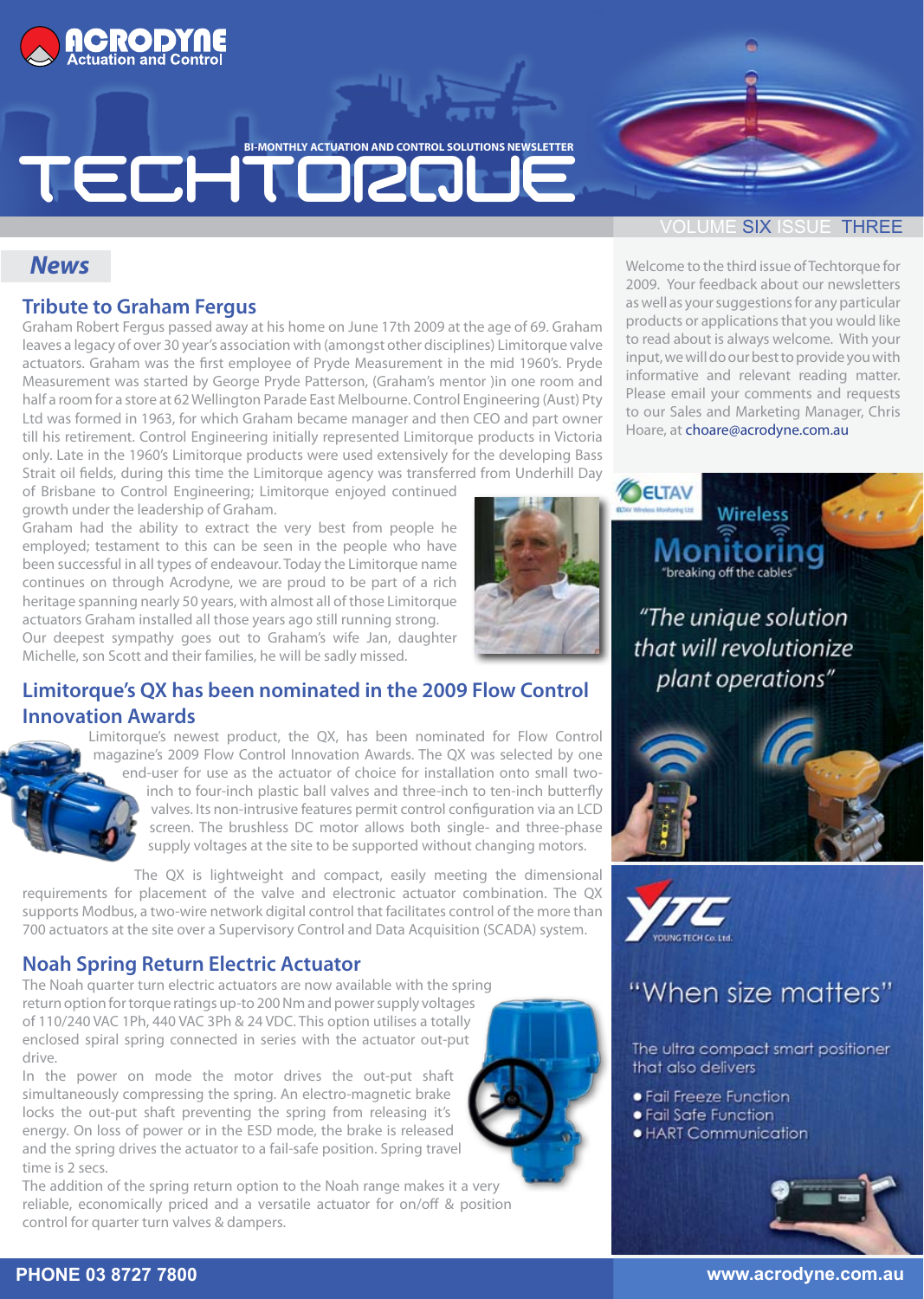

**BI-MONTHLY ACTUATION AND CONTROL SOLUTIONS NEWSLETTER** 

# TECHTORQ

#### **SIX ISSUE THREE**

#### *News*

#### **Tribute to Graham Fergus**

Graham Robert Fergus passed away at his home on June 17th 2009 at the age of 69. Graham leaves a legacy of over 30 year's association with (amongst other disciplines) Limitorque valve actuators. Graham was the first employee of Pryde Measurement in the mid 1960's. Pryde Measurement was started by George Pryde Patterson, (Graham's mentor )in one room and half a room for a store at 62 Wellington Parade East Melbourne. Control Engineering (Aust) Pty Ltd was formed in 1963, for which Graham became manager and then CEO and part owner till his retirement. Control Engineering initially represented Limitorque products in Victoria only. Late in the 1960's Limitorque products were used extensively for the developing Bass Strait oil fields, during this time the Limitorque agency was transferred from Underhill Day

of Brisbane to Control Engineering; Limitorque enjoyed continued growth under the leadership of Graham.

Graham had the ability to extract the very best from people he employed; testament to this can be seen in the people who have been successful in all types of endeavour. Today the Limitorque name continues on through Acrodyne, we are proud to be part of a rich heritage spanning nearly 50 years, with almost all of those Limitorque actuators Graham installed all those years ago still running strong. Our deepest sympathy goes out to Graham's wife Jan, daughter Michelle, son Scott and their families, he will be sadly missed.



### **Limitorque's QX has been nominated in the 2009 Flow Control Innovation Awards**

Limitorque's newest product, the QX, has been nominated for Flow Control magazine's 2009 Flow Control Innovation Awards. The QX was selected by one end-user for use as the actuator of choice for installation onto small twoinch to four-inch plastic ball valves and three-inch to ten-inch butterfly valves. Its non-intrusive features permit control configuration via an LCD screen. The brushless DC motor allows both single- and three-phase supply voltages at the site to be supported without changing motors.

The QX is lightweight and compact, easily meeting the dimensional requirements for placement of the valve and electronic actuator combination. The QX supports Modbus, a two-wire network digital control that facilitates control of the more than 700 actuators at the site over a Supervisory Control and Data Acquisition (SCADA) system.

#### **Noah Spring Return Electric Actuator**

The Noah quarter turn electric actuators are now available with the spring return option for torque ratings up-to 200 Nm and power supply voltages of 110/240 VAC 1Ph, 440 VAC 3Ph & 24 VDC. This option utilises a totally enclosed spiral spring connected in series with the actuator out-put drive.

In the power on mode the motor drives the out-put shaft simultaneously compressing the spring. An electro-magnetic brake locks the out-put shaft preventing the spring from releasing it's energy. On loss of power or in the ESD mode, the brake is released and the spring drives the actuator to a fail-safe position. Spring travel time is 2 secs.

The addition of the spring return option to the Noah range makes it a very reliable, economically priced and a versatile actuator for on/off & position control for quarter turn valves & dampers.



Welcome to the third issue of Techtorque for 2009. Your feedback about our newsletters as well as your suggestions for any particular products or applications that you would like to read about is always welcome. With your input, we will do our best to provide you with informative and relevant reading matter. Please email your comments and requests to our Sales and Marketing Manager, Chris Hoare, at choare@acrodyne.com.au





## "When size matters"

The ultra compact smart positioner that also delivers

- **•** Fail Freeze Function
- · Fail Safe Function
- · HART Communication



#### **PHONE 03 8727 7800 www.acrodyne.com.au**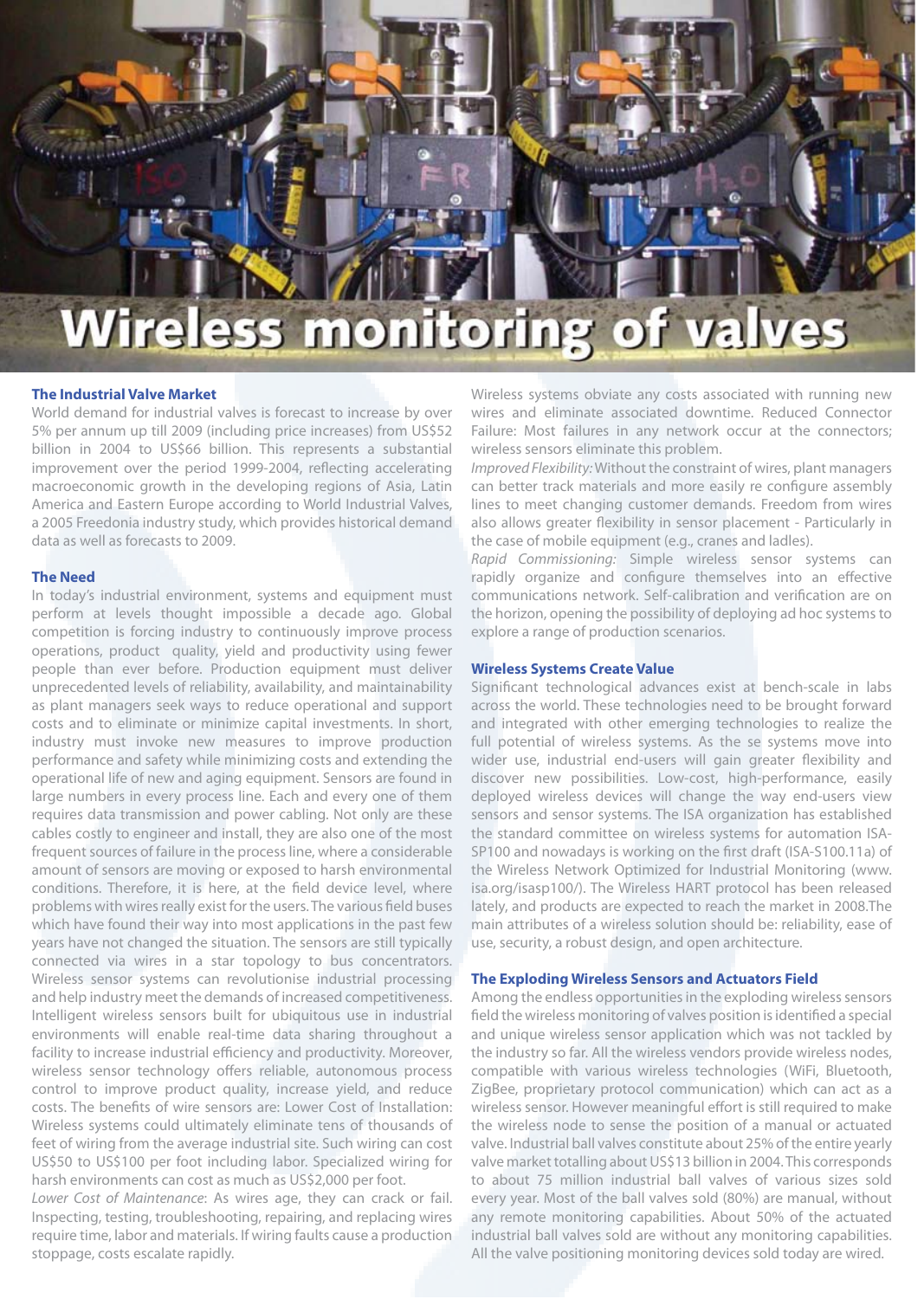

#### **The Industrial Valve Market**

World demand for industrial valves is forecast to increase by over 5% per annum up till 2009 (including price increases) from US\$52 billion in 2004 to US\$66 billion. This represents a substantial improvement over the period 1999-2004, reflecting accelerating macroeconomic growth in the developing regions of Asia, Latin America and Eastern Europe according to World Industrial Valves, a 2005 Freedonia industry study, which provides historical demand data as well as forecasts to 2009.

#### **The Need**

In today's industrial environment, systems and equipment must perform at levels thought impossible a decade ago. Global competition is forcing industry to continuously improve process operations, product quality, yield and productivity using fewer people than ever before. Production equipment must deliver unprecedented levels of reliability, availability, and maintainability as plant managers seek ways to reduce operational and support costs and to eliminate or minimize capital investments. In short, industry must invoke new measures to improve production performance and safety while minimizing costs and extending the operational life of new and aging equipment. Sensors are found in large numbers in every process line. Each and every one of them requires data transmission and power cabling. Not only are these cables costly to engineer and install, they are also one of the most frequent sources of failure in the process line, where a considerable amount of sensors are moving or exposed to harsh environmental conditions. Therefore, it is here, at the field device level, where problems with wires really exist for the users. The various field buses which have found their way into most applications in the past few years have not changed the situation. The sensors are still typically connected via wires in a star topology to bus concentrators. Wireless sensor systems can revolutionise industrial processing and help industry meet the demands of increased competitiveness. Intelligent wireless sensors built for ubiquitous use in industrial environments will enable real-time data sharing throughout a facility to increase industrial efficiency and productivity. Moreover, wireless sensor technology offers reliable, autonomous process control to improve product quality, increase yield, and reduce costs. The benefits of wire sensors are: Lower Cost of Installation: Wireless systems could ultimately eliminate tens of thousands of feet of wiring from the average industrial site. Such wiring can cost US\$50 to US\$100 per foot including labor. Specialized wiring for harsh environments can cost as much as US\$2,000 per foot.

*Lower Cost of Maintenance*: As wires age, they can crack or fail. Inspecting, testing, troubleshooting, repairing, and replacing wires require time, labor and materials. If wiring faults cause a production stoppage, costs escalate rapidly.

Wireless systems obviate any costs associated with running new wires and eliminate associated downtime. Reduced Connector Failure: Most failures in any network occur at the connectors; wireless sensors eliminate this problem.

*Improved Flexibility:* Without the constraint of wires, plant managers can better track materials and more easily re configure assembly lines to meet changing customer demands. Freedom from wires also allows greater flexibility in sensor placement - Particularly in the case of mobile equipment (e.g., cranes and ladles).

*Rapid Commissioning:* Simple wireless sensor systems can rapidly organize and configure themselves into an effective communications network. Self-calibration and verification are on the horizon, opening the possibility of deploying ad hoc systems to explore a range of production scenarios.

#### **Wireless Systems Create Value**

Significant technological advances exist at bench-scale in labs across the world. These technologies need to be brought forward and integrated with other emerging technologies to realize the full potential of wireless systems. As the se systems move into wider use, industrial end-users will gain greater flexibility and discover new possibilities. Low-cost, high-performance, easily deployed wireless devices will change the way end-users view sensors and sensor systems. The ISA organization has established the standard committee on wireless systems for automation ISA-SP100 and nowadays is working on the first draft (ISA-S100.11a) of the Wireless Network Optimized for Industrial Monitoring (www. isa.org/isasp100/). The Wireless HART protocol has been released lately, and products are expected to reach the market in 2008.The main attributes of a wireless solution should be: reliability, ease of use, security, a robust design, and open architecture.

#### **The Exploding Wireless Sensors and Actuators Field**

Among the endless opportunities in the exploding wireless sensors field the wireless monitoring of valves position is identified a special and unique wireless sensor application which was not tackled by the industry so far. All the wireless vendors provide wireless nodes, compatible with various wireless technologies (WiFi, Bluetooth, ZigBee, proprietary protocol communication) which can act as a wireless sensor. However meaningful effort is still required to make the wireless node to sense the position of a manual or actuated valve. Industrial ball valves constitute about 25% of the entire yearly valve market totalling about US\$13 billion in 2004. This corresponds to about 75 million industrial ball valves of various sizes sold every year. Most of the ball valves sold (80%) are manual, without any remote monitoring capabilities. About 50% of the actuated industrial ball valves sold are without any monitoring capabilities. All the valve positioning monitoring devices sold today are wired.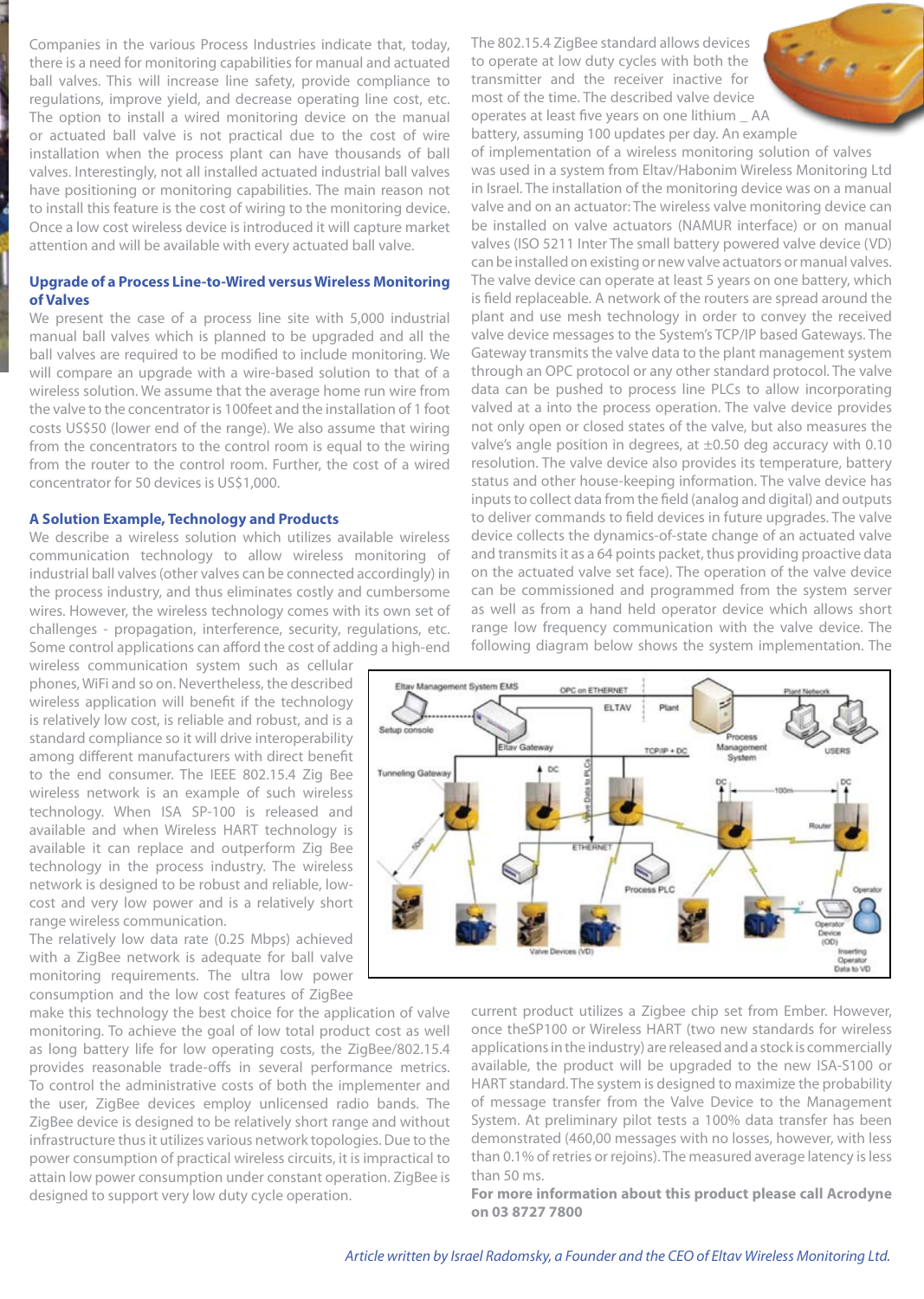Companies in the various Process Industries indicate that, today, there is a need for monitoring capabilities for manual and actuated ball valves. This will increase line safety, provide compliance to regulations, improve yield, and decrease operating line cost, etc. The option to install a wired monitoring device on the manual or actuated ball valve is not practical due to the cost of wire installation when the process plant can have thousands of ball valves. Interestingly, not all installed actuated industrial ball valves have positioning or monitoring capabilities. The main reason not to install this feature is the cost of wiring to the monitoring device. Once a low cost wireless device is introduced it will capture market attention and will be available with every actuated ball valve.

#### **Upgrade of a Process Line-to-Wired versus Wireless Monitoring of Valves**

We present the case of a process line site with 5,000 industrial manual ball valves which is planned to be upgraded and all the ball valves are required to be modified to include monitoring. We will compare an upgrade with a wire-based solution to that of a wireless solution. We assume that the average home run wire from the valve to the concentrator is 100feet and the installation of 1 foot costs US\$50 (lower end of the range). We also assume that wiring from the concentrators to the control room is equal to the wiring from the router to the control room. Further, the cost of a wired concentrator for 50 devices is US\$1,000.

#### **A Solution Example, Technology and Products**

We describe a wireless solution which utilizes available wireless communication technology to allow wireless monitoring of industrial ball valves (other valves can be connected accordingly) in the process industry, and thus eliminates costly and cumbersome wires. However, the wireless technology comes with its own set of challenges - propagation, interference, security, regulations, etc. Some control applications can afford the cost of adding a high-end

wireless communication system such as cellular phones, WiFi and so on. Nevertheless, the described wireless application will benefit if the technology is relatively low cost, is reliable and robust, and is a standard compliance so it will drive interoperability among different manufacturers with direct benefit to the end consumer. The IEEE 802.15.4 Zig Bee wireless network is an example of such wireless technology. When ISA SP-100 is released and available and when Wireless HART technology is available it can replace and outperform Zig Bee technology in the process industry. The wireless network is designed to be robust and reliable, lowcost and very low power and is a relatively short range wireless communication.

The relatively low data rate (0.25 Mbps) achieved with a ZigBee network is adequate for ball valve monitoring requirements. The ultra low power consumption and the low cost features of ZigBee

make this technology the best choice for the application of valve monitoring. To achieve the goal of low total product cost as well as long battery life for low operating costs, the ZigBee/802.15.4 provides reasonable trade-offs in several performance metrics. To control the administrative costs of both the implementer and the user, ZigBee devices employ unlicensed radio bands. The ZigBee device is designed to be relatively short range and without infrastructure thus it utilizes various network topologies. Due to the power consumption of practical wireless circuits, it is impractical to attain low power consumption under constant operation. ZigBee is designed to support very low duty cycle operation.

The 802.15.4 ZigBee standard allows devices to operate at low duty cycles with both the transmitter and the receiver inactive for most of the time. The described valve device operates at least five years on one lithium \_ AA battery, assuming 100 updates per day. An example

 $\mathcal{L}_{\mathcal{E}}$ 

of implementation of a wireless monitoring solution of valves was used in a system from Eltav/Habonim Wireless Monitoring Ltd in Israel. The installation of the monitoring device was on a manual valve and on an actuator: The wireless valve monitoring device can be installed on valve actuators (NAMUR interface) or on manual valves (ISO 5211 Inter The small battery powered valve device (VD) can be installed on existing or new valve actuators or manual valves. The valve device can operate at least 5 years on one battery, which is field replaceable. A network of the routers are spread around the plant and use mesh technology in order to convey the received valve device messages to the System's TCP/IP based Gateways. The Gateway transmits the valve data to the plant management system through an OPC protocol or any other standard protocol. The valve data can be pushed to process line PLCs to allow incorporating valved at a into the process operation. The valve device provides not only open or closed states of the valve, but also measures the valve's angle position in degrees, at ±0.50 deg accuracy with 0.10 resolution. The valve device also provides its temperature, battery status and other house-keeping information. The valve device has inputs to collect data from the field (analog and digital) and outputs to deliver commands to field devices in future upgrades. The valve device collects the dynamics-of-state change of an actuated valve and transmits it as a 64 points packet, thus providing proactive data on the actuated valve set face). The operation of the valve device can be commissioned and programmed from the system server as well as from a hand held operator device which allows short range low frequency communication with the valve device. The following diagram below shows the system implementation. The



current product utilizes a Zigbee chip set from Ember. However, once theSP100 or Wireless HART (two new standards for wireless applications in the industry) are released and a stock is commercially available, the product will be upgraded to the new ISA-S100 or HART standard. The system is designed to maximize the probability of message transfer from the Valve Device to the Management System. At preliminary pilot tests a 100% data transfer has been demonstrated (460,00 messages with no losses, however, with less than 0.1% of retries or rejoins). The measured average latency is less than 50 ms.

**For more information about this product please call Acrodyne on 03 8727 7800**